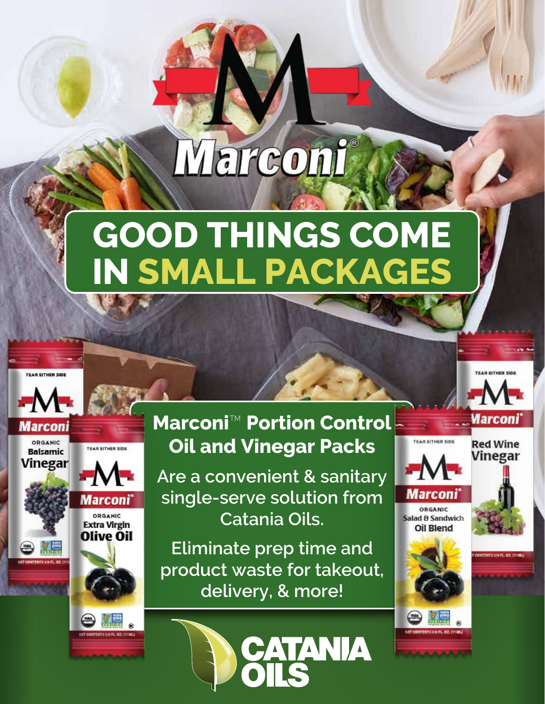# Marconi

## **GOOD THINGS COME IN SMALL PACKAGES**

**TEAR EITHER SIL** 











#### **Marconi**™ **Portion Control Oil and Vinegar Packs**

**Are a convenient & sanitary single-serve solution from Catania Oils.** 

**Eliminate prep time and product waste for takeout, delivery, & more!**